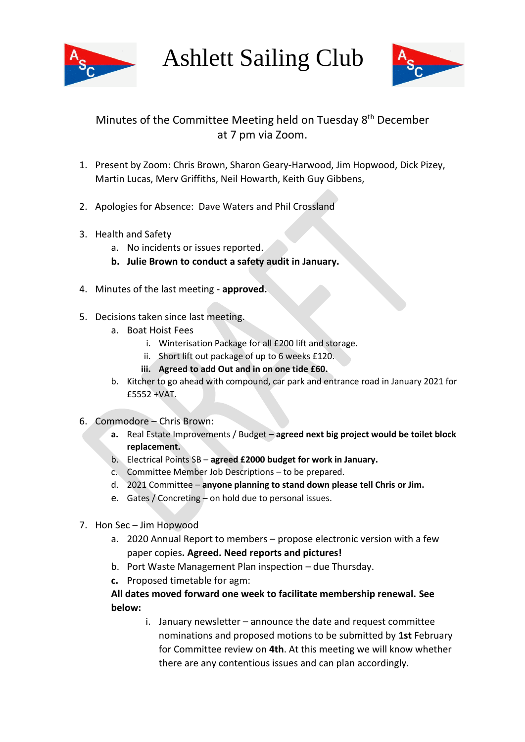

Ashlett Sailing Club



## Minutes of the Committee Meeting held on Tuesday 8<sup>th</sup> December at 7 pm via Zoom.

- 1. Present by Zoom: Chris Brown, Sharon Geary-Harwood, Jim Hopwood, Dick Pizey, Martin Lucas, Merv Griffiths, Neil Howarth, Keith Guy Gibbens,
- 2. Apologies for Absence: Dave Waters and Phil Crossland
- 3. Health and Safety
	- a. No incidents or issues reported.
	- **b. Julie Brown to conduct a safety audit in January.**
- 4. Minutes of the last meeting **approved.**
- 5. Decisions taken since last meeting.
	- a. Boat Hoist Fees
		- i. Winterisation Package for all £200 lift and storage.
		- ii. Short lift out package of up to 6 weeks £120.
		- **iii. Agreed to add Out and in on one tide £60.**
	- b. Kitcher to go ahead with compound, car park and entrance road in January 2021 for £5552 +VAT.
- 6. Commodore Chris Brown:
	- **a.** Real Estate Improvements / Budget **agreed next big project would be toilet block replacement.**
	- b. Electrical Points SB **agreed £2000 budget for work in January.**
	- c. Committee Member Job Descriptions to be prepared.
	- d. 2021 Committee **anyone planning to stand down please tell Chris or Jim.**
	- e. Gates / Concreting on hold due to personal issues.
- 7. Hon Sec Jim Hopwood
	- a. 2020 Annual Report to members propose electronic version with a few paper copies**. Agreed. Need reports and pictures!**
	- b. Port Waste Management Plan inspection due Thursday.
	- **c.** Proposed timetable for agm:

## **All dates moved forward one week to facilitate membership renewal. See below:**

i. January newsletter – announce the date and request committee nominations and proposed motions to be submitted by **1st** February for Committee review on **4th**. At this meeting we will know whether there are any contentious issues and can plan accordingly.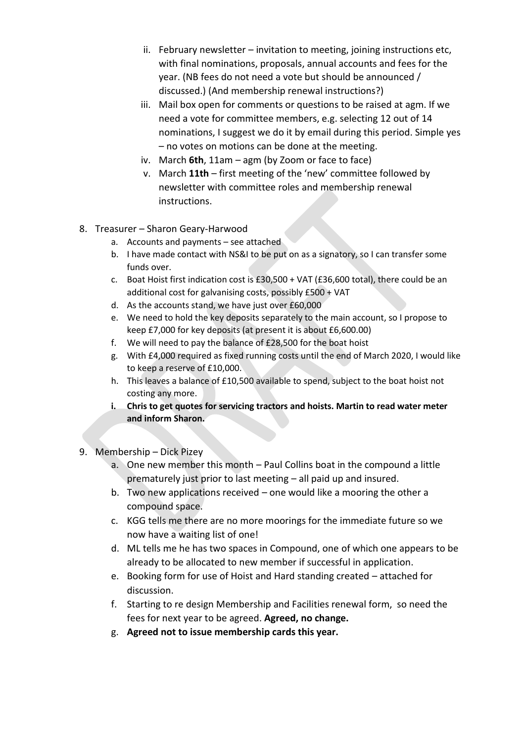- ii. February newsletter invitation to meeting, joining instructions etc, with final nominations, proposals, annual accounts and fees for the year. (NB fees do not need a vote but should be announced / discussed.) (And membership renewal instructions?)
- iii. Mail box open for comments or questions to be raised at agm. If we need a vote for committee members, e.g. selecting 12 out of 14 nominations, I suggest we do it by email during this period. Simple yes – no votes on motions can be done at the meeting.
- iv. March **6th**, 11am agm (by Zoom or face to face)
- v. March **11th** first meeting of the 'new' committee followed by newsletter with committee roles and membership renewal instructions.
- 8. Treasurer Sharon Geary-Harwood
	- a. Accounts and payments see attached
	- b. I have made contact with NS&I to be put on as a signatory, so I can transfer some funds over.
	- c. Boat Hoist first indication cost is £30,500 + VAT (£36,600 total), there could be an additional cost for galvanising costs, possibly £500 + VAT
	- d. As the accounts stand, we have just over £60,000
	- e. We need to hold the key deposits separately to the main account, so I propose to keep £7,000 for key deposits (at present it is about £6,600.00)
	- f. We will need to pay the balance of £28,500 for the boat hoist
	- g. With £4,000 required as fixed running costs until the end of March 2020, I would like to keep a reserve of £10,000.
	- h. This leaves a balance of £10,500 available to spend, subject to the boat hoist not costing any more.
	- **i. Chris to get quotes for servicing tractors and hoists. Martin to read water meter and inform Sharon.**
- 9. Membership Dick Pizey
	- a. One new member this month Paul Collins boat in the compound a little prematurely just prior to last meeting – all paid up and insured.
	- b. Two new applications received one would like a mooring the other a compound space.
	- c. KGG tells me there are no more moorings for the immediate future so we now have a waiting list of one!
	- d. ML tells me he has two spaces in Compound, one of which one appears to be already to be allocated to new member if successful in application.
	- e. Booking form for use of Hoist and Hard standing created attached for discussion.
	- f. Starting to re design Membership and Facilities renewal form, so need the fees for next year to be agreed. **Agreed, no change.**
	- g. **Agreed not to issue membership cards this year.**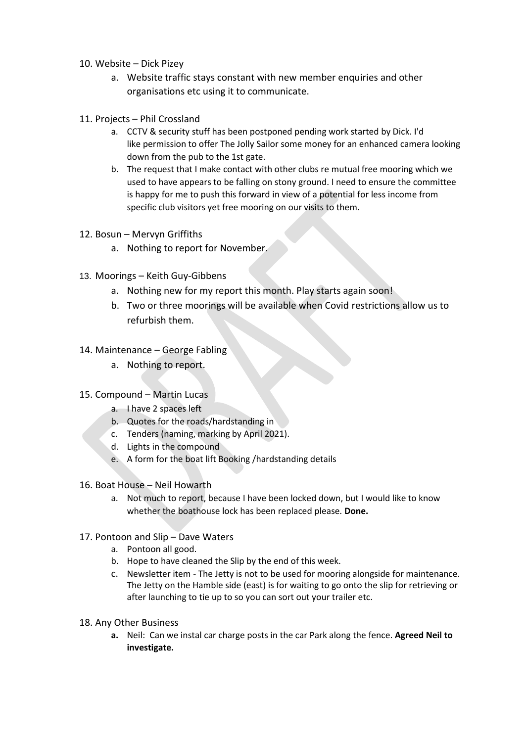## 10. Website – Dick Pizey

- a. Website traffic stays constant with new member enquiries and other organisations etc using it to communicate.
- 11. Projects Phil Crossland
	- a. CCTV & security stuff has been postponed pending work started by Dick. I'd like permission to offer The Jolly Sailor some money for an enhanced camera looking down from the pub to the 1st gate.
	- b. The request that I make contact with other clubs re mutual free mooring which we used to have appears to be falling on stony ground. I need to ensure the committee is happy for me to push this forward in view of a potential for less income from specific club visitors yet free mooring on our visits to them.
- 12. Bosun Mervyn Griffiths
	- a. Nothing to report for November.
- 13. Moorings Keith Guy-Gibbens
	- a. Nothing new for my report this month. Play starts again soon!
	- b. Two or three moorings will be available when Covid restrictions allow us to refurbish them.
- 14. Maintenance George Fabling
	- a. Nothing to report.
- 15. Compound Martin Lucas
	- a. I have 2 spaces left
	- b. Quotes for the roads/hardstanding in
	- c. Tenders (naming, marking by April 2021).
	- d. Lights in the compound
	- e. A form for the boat lift Booking /hardstanding details
- 16. Boat House Neil Howarth
	- a. Not much to report, because I have been locked down, but I would like to know whether the boathouse lock has been replaced please. **Done.**
- 17. Pontoon and Slip Dave Waters
	- a. Pontoon all good.
	- b. Hope to have cleaned the Slip by the end of this week.
	- c. Newsletter item The Jetty is not to be used for mooring alongside for maintenance. The Jetty on the Hamble side (east) is for waiting to go onto the slip for retrieving or after launching to tie up to so you can sort out your trailer etc.
- 18. Any Other Business
	- **a.** Neil: Can we instal car charge posts in the car Park along the fence. **Agreed Neil to investigate.**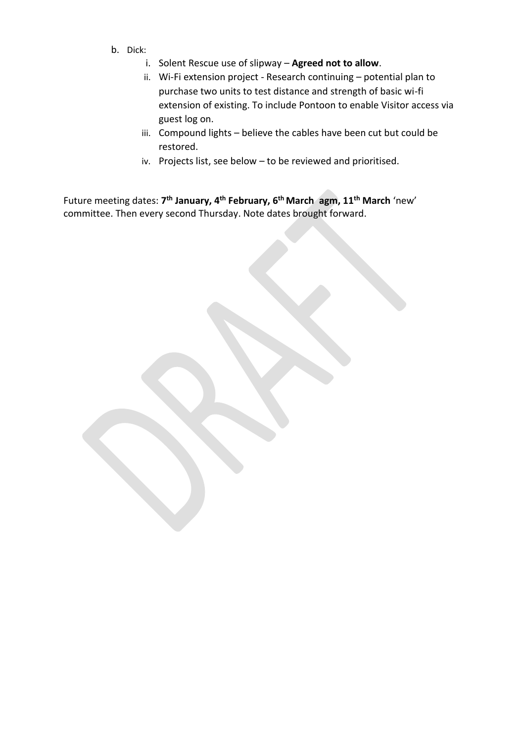- b. Dick:
	- i. Solent Rescue use of slipway **Agreed not to allow**.
	- ii. Wi-Fi extension project Research continuing potential plan to purchase two units to test distance and strength of basic wi-fi extension of existing. To include Pontoon to enable Visitor access via guest log on.
	- iii. Compound lights believe the cables have been cut but could be restored.
	- iv. Projects list, see below to be reviewed and prioritised.

Future meeting dates: **7 th January, 4 th February, 6 th March agm, 11 th March** 'new' committee. Then every second Thursday. Note dates brought forward.